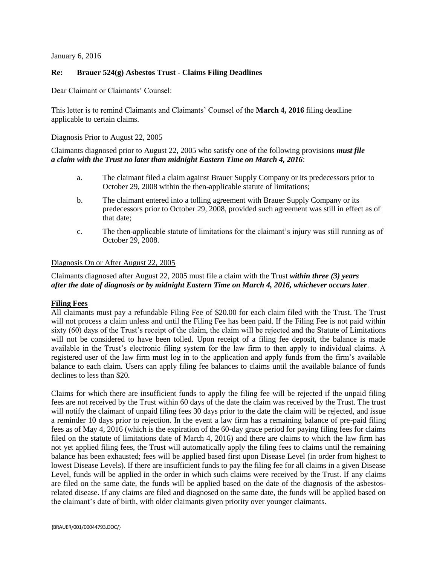January 6, 2016

## **Re: Brauer 524(g) Asbestos Trust - Claims Filing Deadlines**

Dear Claimant or Claimants' Counsel:

This letter is to remind Claimants and Claimants' Counsel of the **March 4, 2016** filing deadline applicable to certain claims.

## Diagnosis Prior to August 22, 2005

Claimants diagnosed prior to August 22, 2005 who satisfy one of the following provisions *must file a claim with the Trust no later than midnight Eastern Time on March 4, 2016*:

- a. The claimant filed a claim against Brauer Supply Company or its predecessors prior to October 29, 2008 within the then-applicable statute of limitations;
- b. The claimant entered into a tolling agreement with Brauer Supply Company or its predecessors prior to October 29, 2008, provided such agreement was still in effect as of that date;
- c. The then-applicable statute of limitations for the claimant's injury was still running as of October 29, 2008.

## Diagnosis On or After August 22, 2005

Claimants diagnosed after August 22, 2005 must file a claim with the Trust *within three (3) years after the date of diagnosis or by midnight Eastern Time on March 4, 2016, whichever occurs later*.

## **Filing Fees**

All claimants must pay a refundable Filing Fee of \$20.00 for each claim filed with the Trust. The Trust will not process a claim unless and until the Filing Fee has been paid. If the Filing Fee is not paid within sixty (60) days of the Trust's receipt of the claim, the claim will be rejected and the Statute of Limitations will not be considered to have been tolled. Upon receipt of a filing fee deposit, the balance is made available in the Trust's electronic filing system for the law firm to then apply to individual claims. A registered user of the law firm must log in to the application and apply funds from the firm's available balance to each claim. Users can apply filing fee balances to claims until the available balance of funds declines to less than \$20.

Claims for which there are insufficient funds to apply the filing fee will be rejected if the unpaid filing fees are not received by the Trust within 60 days of the date the claim was received by the Trust. The trust will notify the claimant of unpaid filing fees 30 days prior to the date the claim will be rejected, and issue a reminder 10 days prior to rejection. In the event a law firm has a remaining balance of pre-paid filing fees as of May 4, 2016 (which is the expiration of the 60-day grace period for paying filing fees for claims filed on the statute of limitations date of March 4, 2016) and there are claims to which the law firm has not yet applied filing fees, the Trust will automatically apply the filing fees to claims until the remaining balance has been exhausted; fees will be applied based first upon Disease Level (in order from highest to lowest Disease Levels). If there are insufficient funds to pay the filing fee for all claims in a given Disease Level, funds will be applied in the order in which such claims were received by the Trust. If any claims are filed on the same date, the funds will be applied based on the date of the diagnosis of the asbestosrelated disease. If any claims are filed and diagnosed on the same date, the funds will be applied based on the claimant's date of birth, with older claimants given priority over younger claimants.